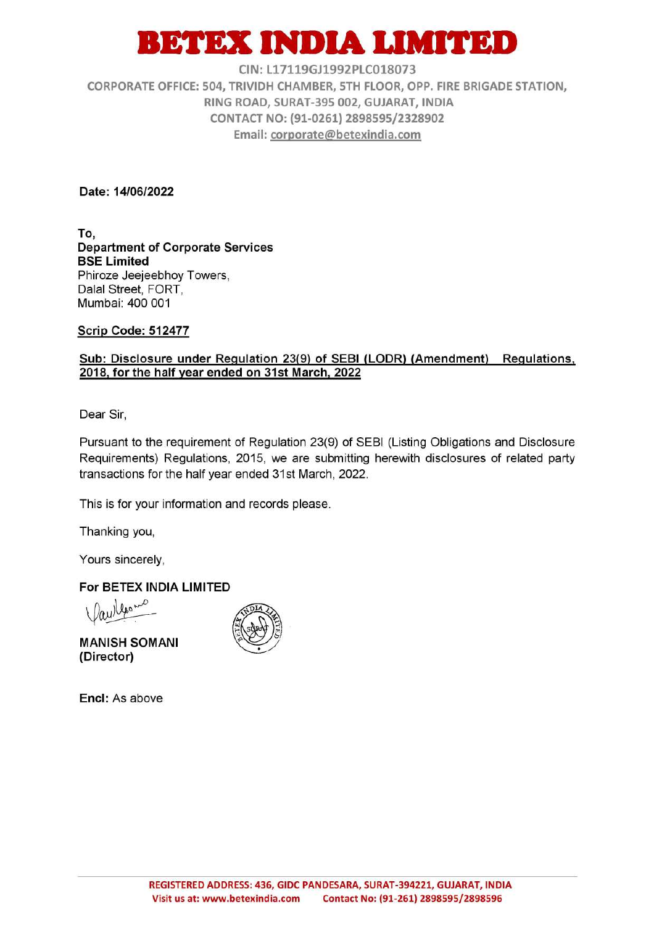## ETEX INDIA LIMITED

CIN: L17119GJ1992PLC018073

CORPORATE OFFICE: 504, TRIVIDH CHAMBER, 5TH FLOOR, OPP. FIRE BRIGADE STATION, RING ROAD, SURAT-395 002, GUJARAT, INDIA CONTACT NO: (91-0261) 2898595/2328902 Email: corporate@betexindia.com

Date: 14/06/2022

To, **Department of Corporate Services BSE Limited** Phiroze Jeejeebhoy Towers, Dalal Street, FORT, Mumbai: 400 001

Scrip Code: 512477

## Sub: Disclosure under Regulation 23(9) of SEBI (LODR) (Amendment) Regulations, 2018, for the half year ended on 31st March, 2022

Dear Sir,

Pursuant to the requirement of Regulation 23(9) of SEBI (Listing Obligations and Disclosure Requirements) Regulations, 2015, we are submitting herewith disclosures of related party transactions for the half year ended 31st March, 2022.

This is for your information and records please.

Thanking you,

Yours sincerely,

For BETEX INDIA LIMITED

 $100<sup>6</sup>$ 

**MANISH SOMANI** (Director)

Encl: As above

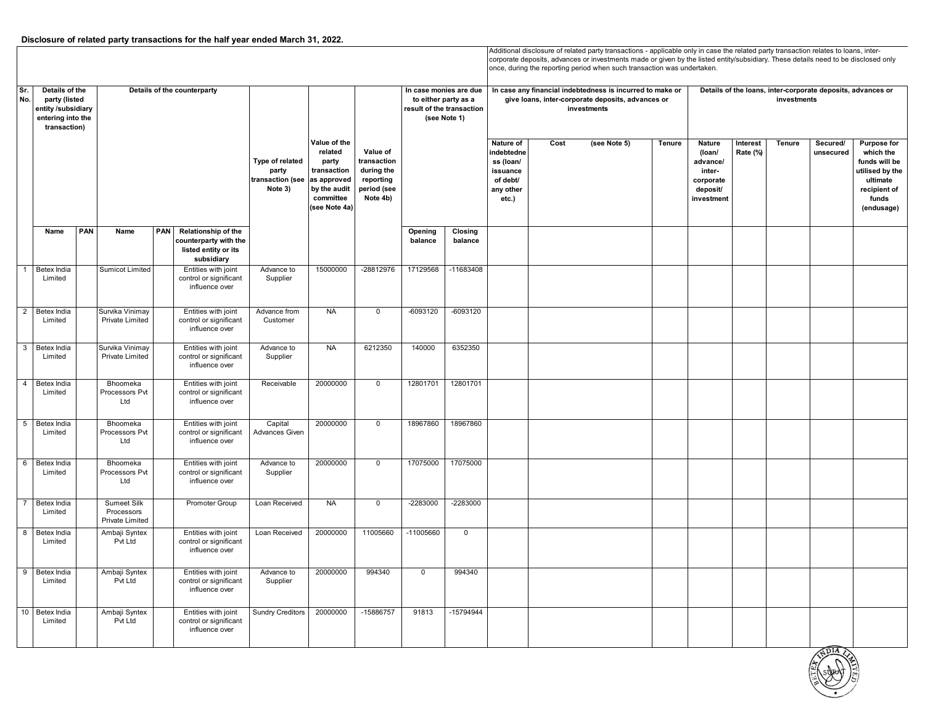## **Disclosure of related party transactions for the half year ended March 31, 2022.**

Additional disclosure of related party transactions - applicable only in case the related party transaction relates to loans, intercorporate deposits, advances or investments made or given by the listed entity/subsidiary. These details need to be disclosed only once, during the reporting period when such transaction was undertaken.

|                    | Sr.<br>Details of the<br>No.<br>party (listed<br>entity /subsidiary<br>entering into the<br>transaction) |     | Details of the counterparty                                |     |                                                                                    | Type of related<br>party<br>transaction (see<br>Note 3) | Value of the<br>related<br>party<br>transaction<br>as approved<br>by the audit<br>committee<br>(see Note 4a) | Value of<br>transaction<br>during the<br>reporting<br>period (see<br>Note 4b) | In case monies are due<br>to either party as a<br>result of the transaction<br>(see Note 1) |                    |                                                                                    | In case any financial indebtedness is incurred to make or<br>give loans, inter-corporate deposits, advances or<br>investments | Details of the loans, inter-corporate deposits, advances or<br>investments |               |                                                                               |                      |        |                       |                                                                                                                        |
|--------------------|----------------------------------------------------------------------------------------------------------|-----|------------------------------------------------------------|-----|------------------------------------------------------------------------------------|---------------------------------------------------------|--------------------------------------------------------------------------------------------------------------|-------------------------------------------------------------------------------|---------------------------------------------------------------------------------------------|--------------------|------------------------------------------------------------------------------------|-------------------------------------------------------------------------------------------------------------------------------|----------------------------------------------------------------------------|---------------|-------------------------------------------------------------------------------|----------------------|--------|-----------------------|------------------------------------------------------------------------------------------------------------------------|
|                    |                                                                                                          |     |                                                            |     |                                                                                    |                                                         |                                                                                                              |                                                                               |                                                                                             |                    | Nature of<br>indebtedne<br>ss (loan/<br>issuance<br>of debt/<br>any other<br>etc.) | Cost                                                                                                                          | (see Note 5)                                                               | <b>Tenure</b> | Nature<br>(loan/<br>advance/<br>inter-<br>corporate<br>deposit/<br>investment | Interest<br>Rate (%) | Tenure | Secured/<br>unsecured | <b>Purpose for</b><br>which the<br>funds will be<br>utilised by the<br>ultimate<br>recipient of<br>funds<br>(endusage) |
|                    | Name                                                                                                     | PAN | Name                                                       | PAN | Relationship of the<br>counterparty with the<br>listed entity or its<br>subsidiary |                                                         |                                                                                                              |                                                                               | Opening<br>balance                                                                          | Closing<br>balance |                                                                                    |                                                                                                                               |                                                                            |               |                                                                               |                      |        |                       |                                                                                                                        |
| $\overline{1}$     | Betex India<br>Limited                                                                                   |     | <b>Sumicot Limited</b>                                     |     | Entities with joint<br>control or significant<br>influence over                    | Advance to<br>Supplier                                  | 15000000                                                                                                     | -28812976                                                                     | 17129568                                                                                    | -11683408          |                                                                                    |                                                                                                                               |                                                                            |               |                                                                               |                      |        |                       |                                                                                                                        |
| $\overline{2}$     | Betex India<br>Limited                                                                                   |     | Survika Vinimay<br>Private Limited                         |     | Entities with joint<br>control or significant<br>influence over                    | Advance from<br>Customer                                | <b>NA</b>                                                                                                    | $\mathbf 0$                                                                   | -6093120                                                                                    | $-6093120$         |                                                                                    |                                                                                                                               |                                                                            |               |                                                                               |                      |        |                       |                                                                                                                        |
|                    | 3 Betex India<br>Limited                                                                                 |     | Survika Vinimay<br><b>Private Limited</b>                  |     | Entities with joint<br>control or significant<br>influence over                    | Advance to<br>Supplier                                  | <b>NA</b>                                                                                                    | 6212350                                                                       | 140000                                                                                      | 6352350            |                                                                                    |                                                                                                                               |                                                                            |               |                                                                               |                      |        |                       |                                                                                                                        |
| $\overline{4}$     | Betex India<br>Limited                                                                                   |     | Bhoomeka<br>Processors Pvt<br>Ltd                          |     | Entities with joint<br>control or significant<br>influence over                    | Receivable                                              | 20000000                                                                                                     | $\Omega$                                                                      | 12801701                                                                                    | 12801701           |                                                                                    |                                                                                                                               |                                                                            |               |                                                                               |                      |        |                       |                                                                                                                        |
| 5                  | Betex India<br>Limited                                                                                   |     | Bhoomeka<br>Processors Pvt<br>Ltd                          |     | Entities with joint<br>control or significant<br>influence over                    | Capital<br><b>Advances Given</b>                        | 20000000                                                                                                     | $\mathbf 0$                                                                   | 18967860                                                                                    | 18967860           |                                                                                    |                                                                                                                               |                                                                            |               |                                                                               |                      |        |                       |                                                                                                                        |
| $6\overline{6}$    | Betex India<br>Limited                                                                                   |     | Bhoomeka<br>Processors Pvt<br>Ltd                          |     | Entities with joint<br>control or significant<br>influence over                    | Advance to<br>Supplier                                  | 20000000                                                                                                     | $\overline{0}$                                                                | 17075000                                                                                    | 17075000           |                                                                                    |                                                                                                                               |                                                                            |               |                                                                               |                      |        |                       |                                                                                                                        |
| $\overline{7}$     | Betex India<br>Limited                                                                                   |     | <b>Sumeet Silk</b><br>Processors<br><b>Private Limited</b> |     | Promoter Group                                                                     | Loan Received                                           | <b>NA</b>                                                                                                    | $\mathsf 0$                                                                   | -2283000                                                                                    | -2283000           |                                                                                    |                                                                                                                               |                                                                            |               |                                                                               |                      |        |                       |                                                                                                                        |
| $\frac{1}{\alpha}$ | Betex India<br>Limited                                                                                   |     | Ambaji Syntex<br>Pvt Ltd                                   |     | Entities with joint<br>control or significant<br>influence over                    | Loan Received                                           | 20000000                                                                                                     | 11005660                                                                      | $-11005660$                                                                                 | $\mathbf 0$        |                                                                                    |                                                                                                                               |                                                                            |               |                                                                               |                      |        |                       |                                                                                                                        |
| 9                  | Betex India<br>Limited                                                                                   |     | Ambaji Syntex<br>Pvt Ltd                                   |     | Entities with joint<br>control or significant<br>influence over                    | Advance to<br>Supplier                                  | 20000000                                                                                                     | 994340                                                                        | $\mathbf 0$                                                                                 | 994340             |                                                                                    |                                                                                                                               |                                                                            |               |                                                                               |                      |        |                       |                                                                                                                        |
| 10                 | Betex India<br>Limited                                                                                   |     | Ambaji Syntex<br>Pvt Ltd                                   |     | Entities with joint<br>control or significant<br>influence over                    | <b>Sundry Creditors</b>                                 | 20000000                                                                                                     | -15886757                                                                     | 91813                                                                                       | -15794944          |                                                                                    |                                                                                                                               |                                                                            |               |                                                                               |                      |        |                       |                                                                                                                        |